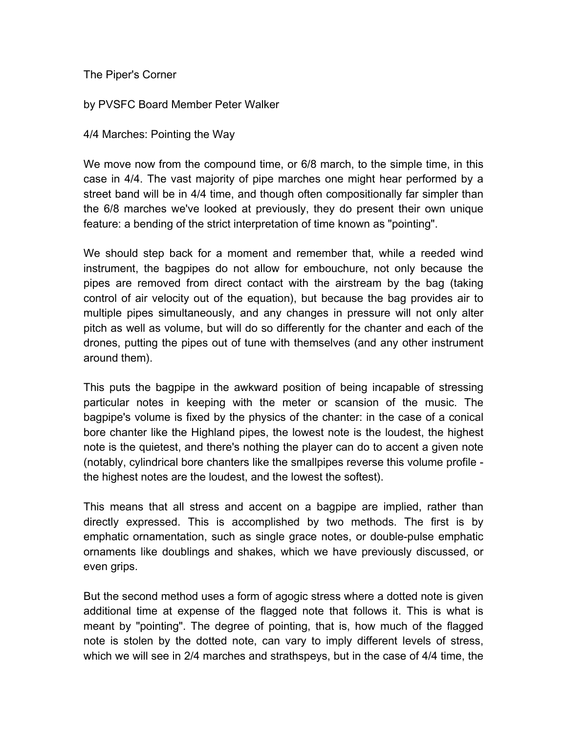The Piper's Corner

by PVSFC Board Member Peter Walker

4/4 Marches: Pointing the Way

We move now from the compound time, or 6/8 march, to the simple time, in this case in 4/4. The vast majority of pipe marches one might hear performed by a street band will be in 4/4 time, and though often compositionally far simpler than the 6/8 marches we've looked at previously, they do present their own unique feature: a bending of the strict interpretation of time known as "pointing".

We should step back for a moment and remember that, while a reeded wind instrument, the bagpipes do not allow for embouchure, not only because the pipes are removed from direct contact with the airstream by the bag (taking control of air velocity out of the equation), but because the bag provides air to multiple pipes simultaneously, and any changes in pressure will not only alter pitch as well as volume, but will do so differently for the chanter and each of the drones, putting the pipes out of tune with themselves (and any other instrument around them).

This puts the bagpipe in the awkward position of being incapable of stressing particular notes in keeping with the meter or scansion of the music. The bagpipe's volume is fixed by the physics of the chanter: in the case of a conical bore chanter like the Highland pipes, the lowest note is the loudest, the highest note is the quietest, and there's nothing the player can do to accent a given note (notably, cylindrical bore chanters like the smallpipes reverse this volume profile the highest notes are the loudest, and the lowest the softest).

This means that all stress and accent on a bagpipe are implied, rather than directly expressed. This is accomplished by two methods. The first is by emphatic ornamentation, such as single grace notes, or double-pulse emphatic ornaments like doublings and shakes, which we have previously discussed, or even grips.

But the second method uses a form of agogic stress where a dotted note is given additional time at expense of the flagged note that follows it. This is what is meant by "pointing". The degree of pointing, that is, how much of the flagged note is stolen by the dotted note, can vary to imply different levels of stress, which we will see in 2/4 marches and strathspeys, but in the case of 4/4 time, the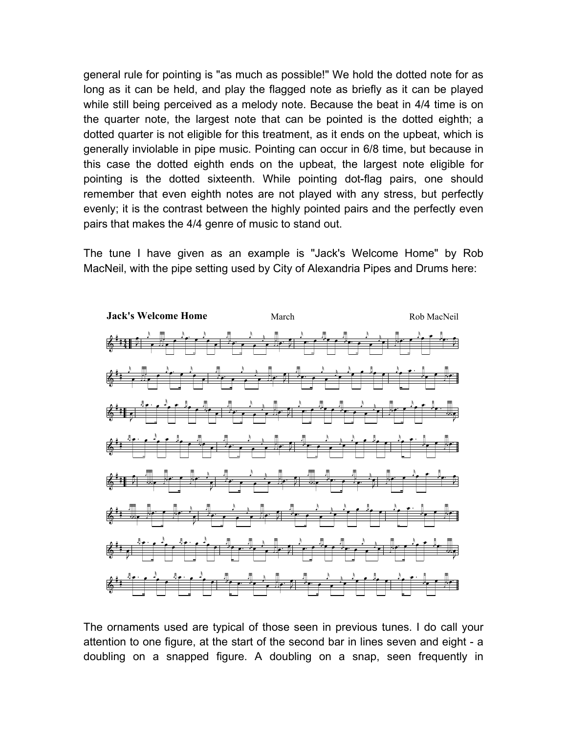general rule for pointing is "as much as possible!" We hold the dotted note for as long as it can be held, and play the flagged note as briefly as it can be played while still being perceived as a melody note. Because the beat in 4/4 time is on the quarter note, the largest note that can be pointed is the dotted eighth; a dotted quarter is not eligible for this treatment, as it ends on the upbeat, which is generally inviolable in pipe music. Pointing can occur in 6/8 time, but because in this case the dotted eighth ends on the upbeat, the largest note eligible for pointing is the dotted sixteenth. While pointing dot-flag pairs, one should remember that even eighth notes are not played with any stress, but perfectly evenly; it is the contrast between the highly pointed pairs and the perfectly even pairs that makes the 4/4 genre of music to stand out.

The tune I have given as an example is "Jack's Welcome Home" by Rob MacNeil, with the pipe setting used by City of Alexandria Pipes and Drums here:



attention to one figure, at the start of the second bar in lines seven and eight - a<br>deublise are a second of figure of deublise are a second part framewhat י<br>|  $\begin{bmatrix} 1 \\ 1 \end{bmatrix}$ .<br>=<br>= doubling on a snapped figure. A doubling on a snap, seen frequently in  $\frac{1}{1}$ ر<br>ا  $\ddot{\phantom{0}}$  $\frac{1}{2}$ .<br>ג  $\frac{1}{2}$ .<br>ڊ  $\ddot{\phantom{a}}$ The ornaments used are typical of those seen in previous tunes. I do call your attention to one figure, at the start of the second bar in lines seven and eight - a doubling on a snapped figure. A doubling on a snap, seen f